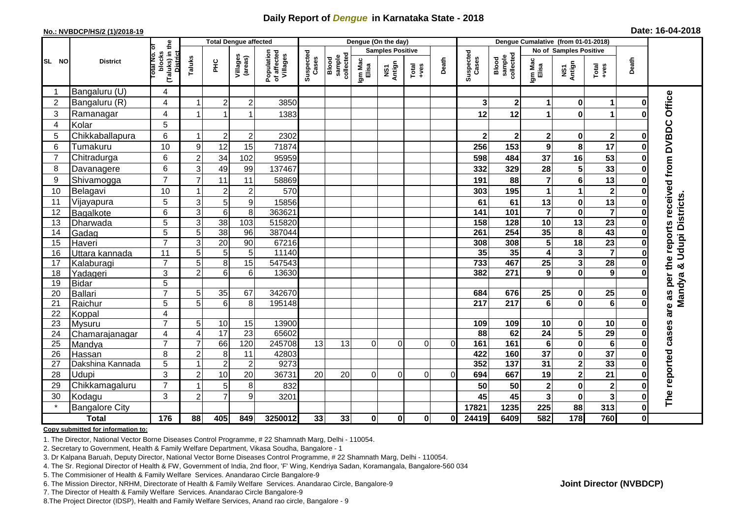## **Daily Report of** *Dengue* **in Karnataka State - 2018**

#### **No.: NVBDCP/HS/2 (1)/2018-19**

| Date: 16-04-2018 |  |  |  |  |  |  |
|------------------|--|--|--|--|--|--|
|------------------|--|--|--|--|--|--|

|                | <b>Total Dengue affected</b> |                                                              |                     |                 |                         |                                       | Dengue (On the day)     |                              |                  |               |               |              |                        | Dengue Cumalative (from 01-01-2018) |                         |                                     |                                                              |              |                                                   |
|----------------|------------------------------|--------------------------------------------------------------|---------------------|-----------------|-------------------------|---------------------------------------|-------------------------|------------------------------|------------------|---------------|---------------|--------------|------------------------|-------------------------------------|-------------------------|-------------------------------------|--------------------------------------------------------------|--------------|---------------------------------------------------|
|                |                              |                                                              |                     |                 |                         |                                       | <b>Samples Positive</b> |                              |                  |               |               |              |                        |                                     |                         | <b>No of Samples Positive</b>       |                                                              |              |                                                   |
| SL NO          | <b>District</b>              | (Taluks) in the<br>lotal No. of<br>blocks<br><b>District</b> | Taluks              | 울               | Villages<br>(areas)     | Population<br>of affected<br>Villages | Suspected<br>Cases      | sample<br>collected<br>Blood | Igm Mac<br>Elisa | NS1<br>Antign | Total<br>+ves | Death        | Suspected<br>Cases     | sample<br>collected<br>Blood        | Igm Mac<br>Elisa        | NS1<br>Antign                       | $\begin{array}{c}\n\text{Total} \\ \text{14.4}\n\end{array}$ | Death        |                                                   |
|                | Bangaluru (U)                | $\overline{4}$                                               |                     |                 |                         |                                       |                         |                              |                  |               |               |              |                        |                                     |                         |                                     |                                                              |              |                                                   |
| $\overline{2}$ | Bangaluru (R)                | 4                                                            |                     | $\overline{2}$  | $\overline{c}$          | 3850                                  |                         |                              |                  |               |               |              | 3                      | $\mathbf 2$                         | 1                       | $\bf{0}$                            | 1                                                            |              |                                                   |
| 3              | Ramanagar                    | 4                                                            |                     | 1               | 1                       | 1383                                  |                         |                              |                  |               |               |              | 12                     | 12                                  | 1                       | $\bf{0}$                            | 1                                                            |              | are as per the reports received from DVBDC Office |
| 4              | Kolar                        | 5                                                            |                     |                 |                         |                                       |                         |                              |                  |               |               |              |                        |                                     |                         |                                     |                                                              |              |                                                   |
| 5              | Chikkaballapura              | 6                                                            |                     | $\overline{2}$  | $\overline{\mathbf{c}}$ | 2302                                  |                         |                              |                  |               |               |              | $\mathbf{2}$           | $\mathbf 2$                         | $\boldsymbol{2}$        | 0                                   | $\mathbf{2}$                                                 |              |                                                   |
| 6              | Tumakuru                     | 10                                                           | 9                   | 12              | 15                      | 71874                                 |                         |                              |                  |               |               |              | 256                    | 153                                 | $\mathbf{9}$            | 8                                   | 17                                                           |              |                                                   |
| $\overline{7}$ | Chitradurga                  | 6                                                            | $\overline{2}$      | 34              | 102                     | 95959                                 |                         |                              |                  |               |               |              | 598                    | 484                                 | 37                      | 16                                  | 53                                                           |              |                                                   |
| 8              | Davanagere                   | $6\phantom{1}$                                               | 3                   | 49              | 99                      | 137467                                |                         |                              |                  |               |               |              | 332                    | 329                                 | 28                      | 5                                   | 33                                                           |              |                                                   |
| 9              | Shivamogga                   | $\overline{7}$                                               | $\overline{7}$      | 11              | 11                      | 58869                                 |                         |                              |                  |               |               |              | 191                    | 88                                  | $\overline{7}$          | $6\phantom{1}6$                     | 13                                                           |              |                                                   |
| 10             | Belagavi                     | 10                                                           |                     | $\overline{2}$  | $\overline{c}$          | 570                                   |                         |                              |                  |               |               |              | 303                    | 195                                 | 1                       | 1                                   | $\mathbf{2}$                                                 |              |                                                   |
| 11             | Vijayapura                   | $\overline{5}$                                               | 3                   | 5               | 9                       | 15856                                 |                         |                              |                  |               |               |              | 61                     | 61                                  | 13                      | $\bf{0}$                            | 13                                                           |              | Mandya & Udupi Districts                          |
| 12             | Bagalkote                    | $\,6$                                                        | $\mathbf{3}$        | $6\phantom{1}6$ | 8                       | 363621                                |                         |                              |                  |               |               |              | 141                    | 101                                 | $\overline{7}$          | $\bf{0}$                            | $\overline{\mathbf{7}}$                                      |              |                                                   |
| 13             | Dharwada                     | $\overline{5}$                                               | $\overline{3}$      | 38              | 103                     | 515820                                |                         |                              |                  |               |               |              | 158                    | $\frac{1}{28}$                      | $\overline{10}$         | 13                                  | $\overline{23}$                                              |              |                                                   |
| 14             | Gadag                        | $\overline{5}$                                               | 5                   | 38              | 96                      | 387044                                |                         |                              |                  |               |               |              | 261                    | $\overline{254}$                    | 35                      | 8                                   | 43                                                           |              |                                                   |
| 15             | Haveri                       | $\overline{7}$                                               | 3                   | 20              | 90                      | 67216                                 |                         |                              |                  |               |               |              | 308                    | 308                                 | 5                       | 18                                  | $\overline{23}$                                              |              |                                                   |
| 16             | Uttara kannada               | $\overline{11}$                                              | 5                   | 5               | 5                       | 11140                                 |                         |                              |                  |               |               |              | 35                     | 35                                  | 4                       | $\mathbf{3}$                        | $\overline{\mathbf{7}}$                                      |              |                                                   |
| 17             | Kalaburagi                   | $\overline{7}$                                               | 5                   | 8               | 15                      | 547543                                |                         |                              |                  |               |               |              | 733                    | 467                                 | 25                      | $\mathbf{3}$                        | $\overline{28}$                                              |              |                                                   |
| 18             | Yadageri                     | 3                                                            | $\overline{2}$      | 6               | 6                       | 13630                                 |                         |                              |                  |               |               |              | 382                    | 271                                 | 9                       | $\mathbf{0}$                        | 9                                                            |              |                                                   |
| 19             | <b>Bidar</b>                 | $\overline{5}$                                               |                     |                 |                         |                                       |                         |                              |                  |               |               |              |                        |                                     |                         |                                     |                                                              |              |                                                   |
| 20             | Ballari                      | $\overline{7}$                                               | 5                   | 35              | 67                      | 342670                                |                         |                              |                  |               |               |              | 684                    | 676                                 | 25                      | 0                                   | 25                                                           |              |                                                   |
| 21             | Raichur                      | 5                                                            | 5                   | $6\phantom{1}$  | 8                       | 195148                                |                         |                              |                  |               |               |              | 217                    | 217                                 | $\overline{\mathbf{6}}$ | $\mathbf 0$                         | $\overline{6}$                                               |              |                                                   |
| 22             | Koppal                       | $\overline{\mathbf{4}}$<br>$\overline{7}$                    |                     |                 |                         |                                       |                         |                              |                  |               |               |              |                        |                                     |                         |                                     |                                                              |              |                                                   |
| 23<br>24       | Mysuru                       | 4                                                            | 5<br>$\overline{4}$ | 10<br>17        | 15<br>23                | 13900<br>65602                        |                         |                              |                  |               |               |              | 109<br>$\overline{88}$ | 109<br>62                           | 10<br>$\overline{24}$   | $\bf{0}$<br>$\overline{\mathbf{5}}$ | 10<br>29                                                     |              |                                                   |
| 25             | Chamarajanagar<br>Mandya     | $\overline{7}$                                               | $\overline{7}$      | 66              | 120                     | 245708                                | 13                      | 13                           | 0                | $\Omega$      | $\Omega$      | $\Omega$     | 161                    | 161                                 | $\bf 6$                 | $\bf{0}$                            | $6\phantom{1}$                                               |              |                                                   |
| 26             | Hassan                       | 8                                                            | $\overline{2}$      | 8               | 11                      | 42803                                 |                         |                              |                  |               |               |              | 422                    | 160                                 | $\overline{37}$         | $\pmb{0}$                           | $\overline{37}$                                              |              |                                                   |
| 27             | Dakshina Kannada             | 5                                                            |                     | $\overline{2}$  | $\overline{2}$          | 9273                                  |                         |                              |                  |               |               |              | 352                    | $\overline{137}$                    | 31                      | $\overline{\mathbf{2}}$             | 33                                                           |              |                                                   |
| 28             | Udupi                        | 3                                                            | $\overline{2}$      | 10              | 20                      | 36731                                 | 20                      | 20                           | $\Omega$         | $\Omega$      | $\Omega$      | $\Omega$     | 694                    | 667                                 | 19                      | $\overline{\mathbf{2}}$             | 21                                                           |              |                                                   |
| 29             | Chikkamagaluru               | $\overline{7}$                                               |                     | 5               | 8                       | 832                                   |                         |                              |                  |               |               |              | 50                     | 50                                  | $\bf 2$                 | $\mathbf 0$                         | $\mathbf{2}$                                                 |              | The reported cases                                |
| 30             | Kodagu                       | 3                                                            | $\overline{2}$      | $\overline{7}$  | 9                       | 3201                                  |                         |                              |                  |               |               |              | 45                     | 45                                  | $\mathbf{3}$            | $\bf{0}$                            | $\overline{\mathbf{3}}$                                      |              |                                                   |
| $\star$        | <b>Bangalore City</b>        |                                                              |                     |                 |                         |                                       |                         |                              |                  |               |               |              | 17821                  | 1235                                | 225                     | 88                                  | 313                                                          | $\bf{0}$     |                                                   |
|                | <b>Total</b>                 | 176                                                          | 88                  | 405             | 849                     | 3250012                               | 33                      | 33                           | $\mathbf{0}$     | $\mathbf{0}$  | $\mathbf{0}$  | $\mathbf{0}$ | 24419                  | 6409                                | 582                     | 178                                 | 760                                                          | $\mathbf{0}$ |                                                   |

#### **Copy submitted for information to:**

1. The Director, National Vector Borne Diseases Control Programme, # 22 Shamnath Marg, Delhi - 110054.

2. Secretary to Government, Health & Family Welfare Department, Vikasa Soudha, Bangalore - 1

3. Dr Kalpana Baruah, Deputy Director, National Vector Borne Diseases Control Programme, # 22 Shamnath Marg, Delhi - 110054.

- 4. The Sr. Regional Director of Health & FW, Government of India, 2nd floor, 'F' Wing, Kendriya Sadan, Koramangala, Bangalore-560 034
- 5. The Commisioner of Health & Family Welfare Services. Anandarao Circle Bangalore-9
- 6. The Mission Director, NRHM, Directorate of Health & Family Welfare Services. Anandarao Circle, Bangalore-9

7. The Director of Health & Family Welfare Services. Anandarao Circle Bangalore-9

8. The Project Director (IDSP), Health and Family Welfare Services, Anand rao circle, Bangalore - 9